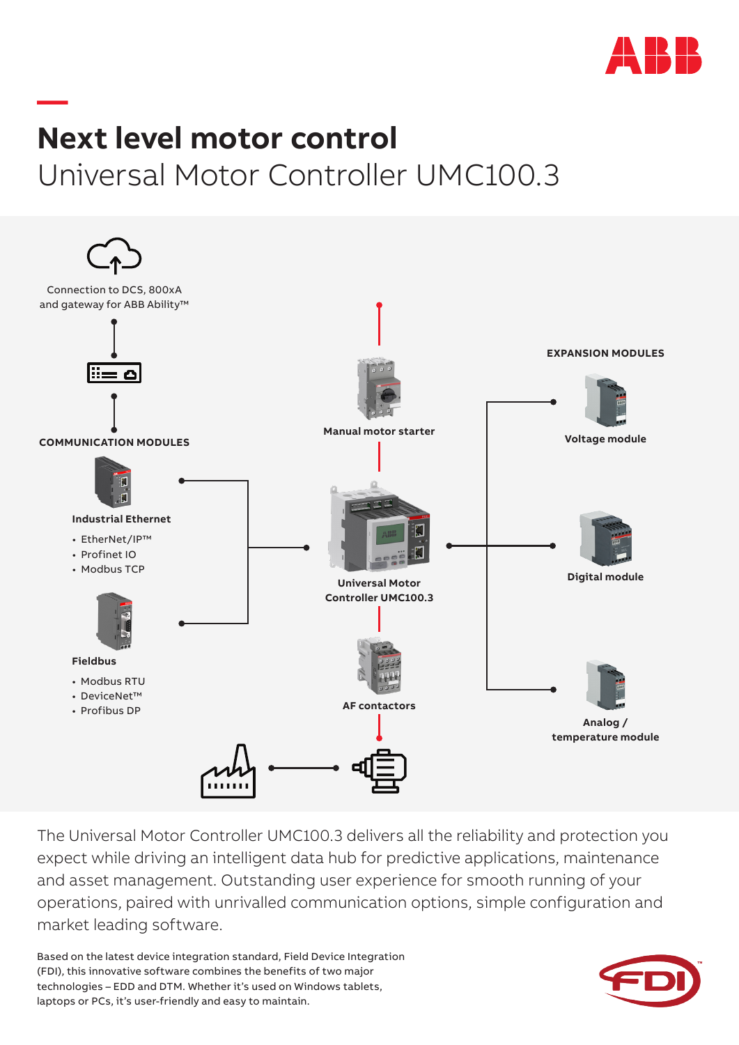

## **— Next level motor control** Universal Motor Controller UMC100.3



The Universal Motor Controller UMC100.3 delivers all the reliability and protection you expect while driving an intelligent data hub for predictive applications, maintenance and asset management. Outstanding user experience for smooth running of your operations, paired with unrivalled communication options, simple configuration and market leading software.

Based on the latest device integration standard, Field Device Integration (FDI), this innovative software combines the benefits of two major technologies – EDD and DTM. Whether it's used on Windows tablets, laptops or PCs, it's user-friendly and easy to maintain.